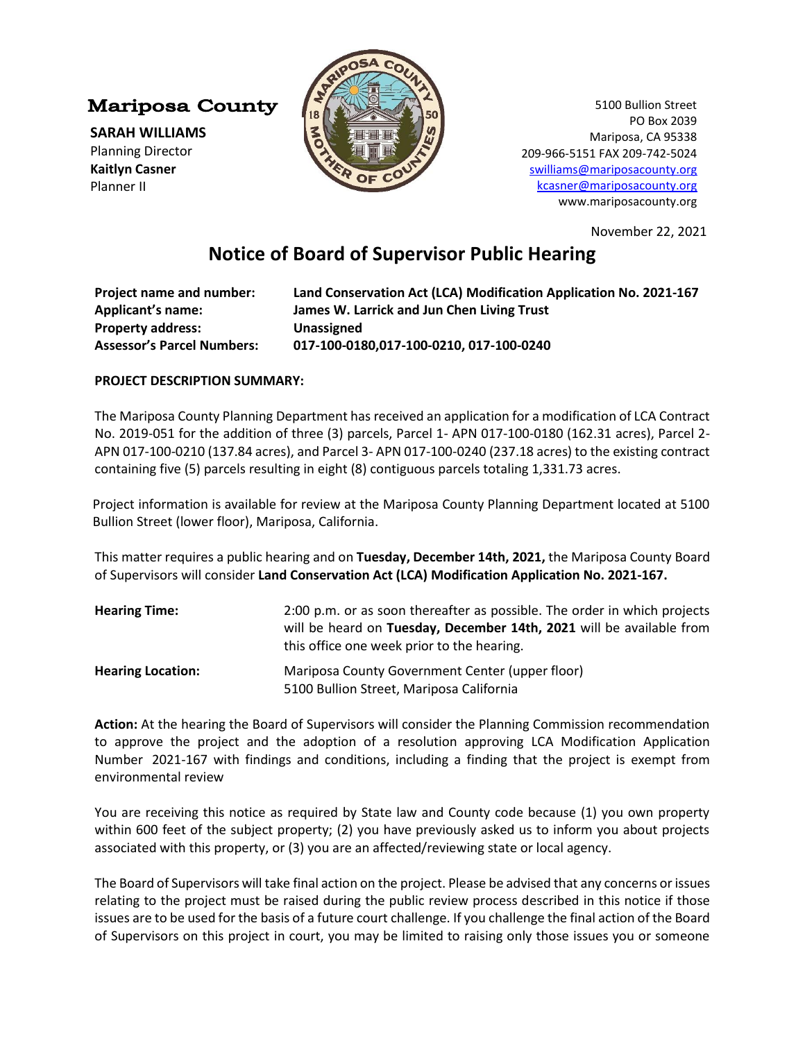## **Mariposa County**

**SARAH WILLIAMS** Planning Director **Kaitlyn Casner**  Planner II



5100 Bullion Street PO Box 2039 Mariposa, CA 95338 209-966-5151 FAX 209-742-5024 [swilliams@mariposacounty.org](mailto:swilliams@mariposacounty.org) [kcasner@mariposacounty.org](mailto:kcasner@mariposacounty.org) www.mariposacounty.org

November 22, 2021

## **Notice of Board of Supervisor Public Hearing**

**Project name and number: Land Conservation Act (LCA) Modification Application No. 2021-167 Applicant's name: James W. Larrick and Jun Chen Living Trust Property address: Unassigned Assessor's Parcel Numbers: 017-100-0180,017-100-0210, 017-100-0240**

## **PROJECT DESCRIPTION SUMMARY:**

The Mariposa County Planning Department has received an application for a modification of LCA Contract No. 2019-051 for the addition of three (3) parcels, Parcel 1- APN 017-100-0180 (162.31 acres), Parcel 2- APN 017-100-0210 (137.84 acres), and Parcel 3- APN 017-100-0240 (237.18 acres) to the existing contract containing five (5) parcels resulting in eight (8) contiguous parcels totaling 1,331.73 acres.

Project information is available for review at the Mariposa County Planning Department located at 5100 Bullion Street (lower floor), Mariposa, California.

This matter requires a public hearing and on **Tuesday, December 14th, 2021,** the Mariposa County Board of Supervisors will consider **Land Conservation Act (LCA) Modification Application No. 2021-167.**

| <b>Hearing Time:</b>     | 2:00 p.m. or as soon thereafter as possible. The order in which projects                                           |
|--------------------------|--------------------------------------------------------------------------------------------------------------------|
|                          | will be heard on Tuesday, December 14th, 2021 will be available from<br>this office one week prior to the hearing. |
| <b>Hearing Location:</b> | Mariposa County Government Center (upper floor)<br>5100 Bullion Street, Mariposa California                        |

**Action:** At the hearing the Board of Supervisors will consider the Planning Commission recommendation to approve the project and the adoption of a resolution approving LCA Modification Application Number 2021-167 with findings and conditions, including a finding that the project is exempt from environmental review

You are receiving this notice as required by State law and County code because (1) you own property within 600 feet of the subject property; (2) you have previously asked us to inform you about projects associated with this property, or (3) you are an affected/reviewing state or local agency.

The Board of Supervisors will take final action on the project. Please be advised that any concerns or issues relating to the project must be raised during the public review process described in this notice if those issues are to be used for the basis of a future court challenge. If you challenge the final action of the Board of Supervisors on this project in court, you may be limited to raising only those issues you or someone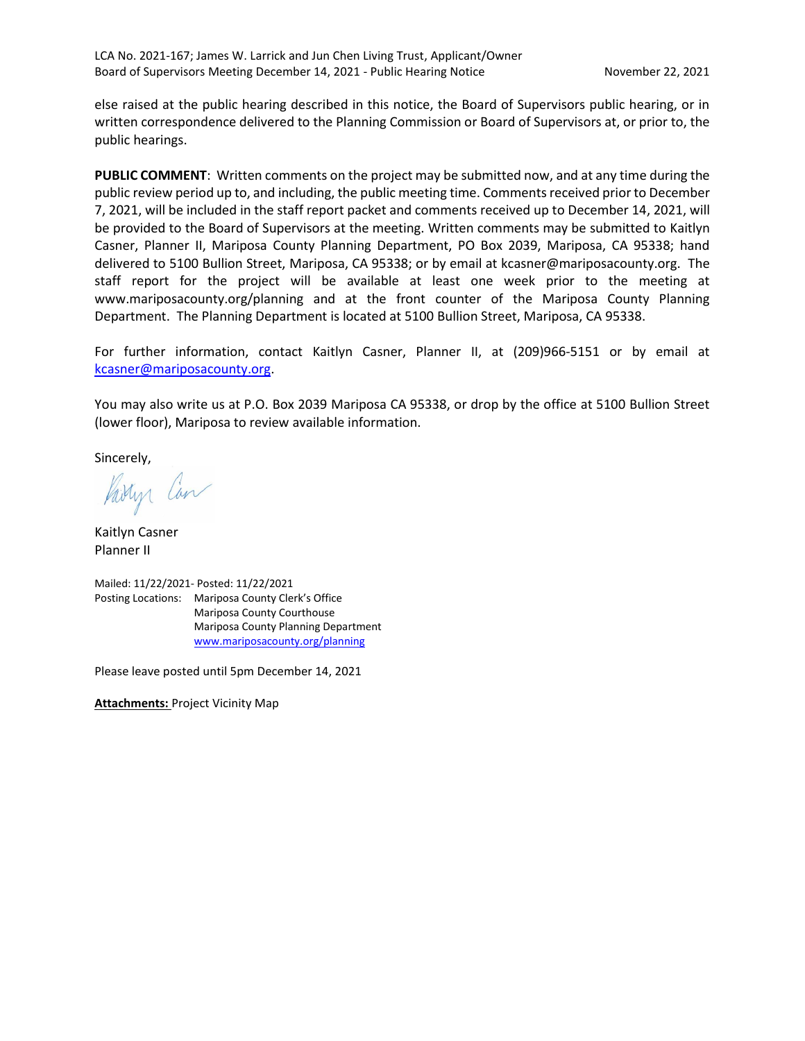else raised at the public hearing described in this notice, the Board of Supervisors public hearing, or in written correspondence delivered to the Planning Commission or Board of Supervisors at, or prior to, the public hearings.

**PUBLIC COMMENT**: Written comments on the project may be submitted now, and at any time during the public review period up to, and including, the public meeting time. Comments received prior to December 7, 2021, will be included in the staff report packet and comments received up to December 14, 2021, will be provided to the Board of Supervisors at the meeting. Written comments may be submitted to Kaitlyn Casner, Planner II, Mariposa County Planning Department, PO Box 2039, Mariposa, CA 95338; hand delivered to 5100 Bullion Street, Mariposa, CA 95338; or by email at kcasner@mariposacounty.org. The staff report for the project will be available at least one week prior to the meeting at www.mariposacounty.org/planning and at the front counter of the Mariposa County Planning Department. The Planning Department is located at 5100 Bullion Street, Mariposa, CA 95338.

For further information, contact Kaitlyn Casner, Planner II, at (209)966-5151 or by email at [kcasner@mariposacounty.org.](mailto:kcasner@mariposacounty.org)

You may also write us at P.O. Box 2039 Mariposa CA 95338, or drop by the office at 5100 Bullion Street (lower floor), Mariposa to review available information.

Sincerely,

Varry Can

Kaitlyn Casner Planner II

Mailed: 11/22/2021- Posted: 11/22/2021 Posting Locations: Mariposa County Clerk's Office Mariposa County Courthouse Mariposa County Planning Department [www.mariposacounty.org/planning](http://www.mariposacounty.org/planning)

Please leave posted until 5pm December 14, 2021

**Attachments:** Project Vicinity Map